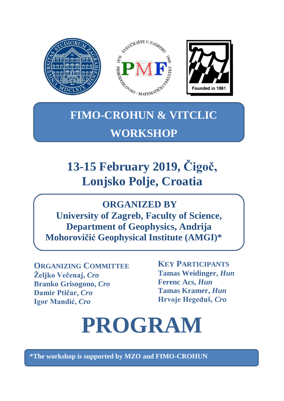

## **FIMO-CROHUN & VITCLIC WORKSHOP**

## **13-15 February 2019, Čigoč, Lonjsko Polje, Croatia**

## **ORGANIZED BY**

**University of Zagreb, Faculty of Science, Department of Geophysics, Andrija Mohorovičić Geophysical Institute (AMGI)\***

**ORGANIZING COMMITTEE Željko Večenaj,** *Cro*  **Branko Grisogono,** *Cro* **Damir Ptičar,** *Cro* **Igor Mandić,** *Cro*

**KEY PARTICIPANTS Tamas Weidinger,** *Hun* **Ferenc Acs,** *Hun* **Tamas Kramer,** *Hun* **Hrvoje Hegeduš,** *Cro*

## **PROGRAM**

**\*The workshop is supported by MZO and FIMO-CROHUN**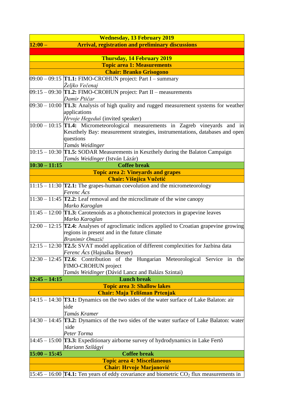|                                                                       | <b>Wednesday, 13 February 2019</b>                                                                      |  |  |
|-----------------------------------------------------------------------|---------------------------------------------------------------------------------------------------------|--|--|
| $12:00 -$<br><b>Arrival, registration and preliminary discussions</b> |                                                                                                         |  |  |
|                                                                       |                                                                                                         |  |  |
| Thursday, 14 February 2019                                            |                                                                                                         |  |  |
| <b>Topic area 1: Measurements</b>                                     |                                                                                                         |  |  |
| <b>Chair: Branko Grisogono</b>                                        |                                                                                                         |  |  |
|                                                                       | $09:00 - 09:15$ T1.1: FIMO-CROHUN project: Part I – summary                                             |  |  |
|                                                                       | Željko Večenaj                                                                                          |  |  |
|                                                                       | $[09:15 - 09:30]$ T1.2: FIMO-CROHUN project: Part II – measurements                                     |  |  |
|                                                                       | Damir Ptičar                                                                                            |  |  |
|                                                                       | $[09:30 - 10:00]$ T1.3: Analysis of high quality and rugged measurement systems for weather             |  |  |
|                                                                       | applications                                                                                            |  |  |
|                                                                       | Hrvoje Hegeduš (invited speaker)                                                                        |  |  |
|                                                                       | $ 10:00 - 10:15 $ T1.4: Micrometeorological measurements in Zagreb vineyards and in                     |  |  |
|                                                                       | Keszthely Bay: measurement strategies, instrumentations, databases and open                             |  |  |
|                                                                       | questions                                                                                               |  |  |
|                                                                       | Tamás Weidinger                                                                                         |  |  |
|                                                                       | $ 10:15 - 10:30$ T1.5: SODAR Measurements in Keszthely during the Balaton Campaign                      |  |  |
|                                                                       | Tamás Weidinger (István Lázár)                                                                          |  |  |
| $10:30 - 11:15$                                                       | <b>Coffee break</b>                                                                                     |  |  |
|                                                                       | <b>Topic area 2: Vineyards and grapes</b>                                                               |  |  |
|                                                                       | <b>Chair: Višnjica Vučetić</b>                                                                          |  |  |
|                                                                       | $11:15 - 11:30$ T2.1: The grapes-human coevolution and the micrometeorology                             |  |  |
|                                                                       | Ferenc Ács                                                                                              |  |  |
|                                                                       | $ 11:30 - 11:45$ $ T2.2$ : Leaf removal and the microclimate of the wine canopy                         |  |  |
|                                                                       | Marko Karoglan                                                                                          |  |  |
|                                                                       | $ 11:45 - 12:00$ T1.3: Carotenoids as a photochemical protectors in grapevine leaves                    |  |  |
|                                                                       | Marko Karoglan                                                                                          |  |  |
|                                                                       | $\left 12:00-12:15\right $ T2.4: Analyses of agroclimatic indices applied to Croatian grapevine growing |  |  |
|                                                                       | regions in present and in the future climate                                                            |  |  |
|                                                                       | <b>Branimir Omazić</b>                                                                                  |  |  |
|                                                                       | $ 12:15 - 12:30$ T2.5: SVAT model application of different complexities for Jazbina data                |  |  |
|                                                                       | <i>Ferenc Ács</i> (Hajnalka Breuer)                                                                     |  |  |
|                                                                       | $[12:30 - 12:45]$ T2.6: Contribution of the Hungarian Meteorological Service in the                     |  |  |
|                                                                       | FIMO-CROHUN project                                                                                     |  |  |
|                                                                       | Tamás Weidinger (Dávid Lancz and Balázs Szintai)                                                        |  |  |
| $12:45 - 14:15$                                                       | <b>Lunch break</b>                                                                                      |  |  |
|                                                                       | <b>Topic area 3: Shallow lakes</b>                                                                      |  |  |
|                                                                       | <b>Chair: Maja Telišman Prtenjak</b>                                                                    |  |  |
|                                                                       | $ 14:15 - 14:30$ <b>T3.1:</b> Dynamics on the two sides of the water surface of Lake Balaton: air       |  |  |
|                                                                       | side                                                                                                    |  |  |
|                                                                       | Tamás Kramer                                                                                            |  |  |
|                                                                       | $14:30 - 14:45$ <b>T3.2:</b> Dynamics of the two sides of the water surface of Lake Balaton: water      |  |  |
|                                                                       | side                                                                                                    |  |  |
|                                                                       | Peter Torma                                                                                             |  |  |
|                                                                       | $14:45 - 15:00$ <b>T3.3:</b> Expeditionary airborne survey of hydrodynamics in Lake Ferto               |  |  |
|                                                                       | Mariann Szilágyi                                                                                        |  |  |
| $15:00 - 15:45$                                                       | <b>Coffee break</b>                                                                                     |  |  |
| <b>Topic area 4: Miscellaneous</b>                                    |                                                                                                         |  |  |
|                                                                       | <b>Chair: Hrvoje Marjanović</b>                                                                         |  |  |
|                                                                       | $15:45 - 16:00$ T4.1: Ten years of eddy covariance and biometric CO <sub>2</sub> flux measurements in   |  |  |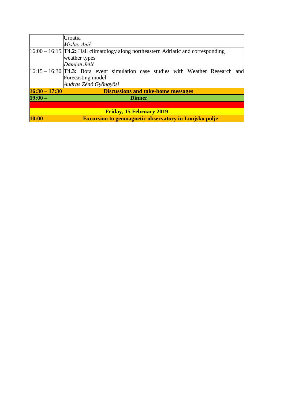|                 | Croatia                                                                                     |
|-----------------|---------------------------------------------------------------------------------------------|
|                 | Mislav Anić                                                                                 |
|                 | $16:00 - 16:15$ <b>T4.2:</b> Hail climatology along northeastern Adriatic and corresponding |
|                 | weather types                                                                               |
|                 | Damjan Jelić                                                                                |
|                 | $[16:15 - 16:30]$ T4.3: Bora event simulation case studies with Weather Research and        |
|                 | Forecasting model                                                                           |
|                 | Andras Zénó Gyöngyösi                                                                       |
| $16:30 - 17:30$ | <b>Discussions and take-home messages</b>                                                   |
| $19:00-$        | <b>Dinner</b>                                                                               |
|                 |                                                                                             |
|                 | <b>Friday, 15 February 2019</b>                                                             |
| $10:00 -$       | <b>Excursion to geomagnetic observatory in Lonjsko polje</b>                                |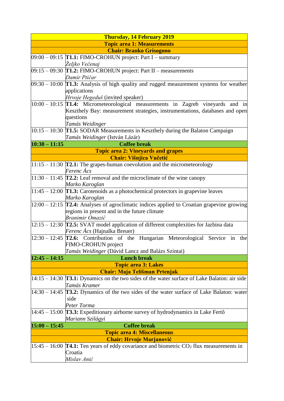|                                    | <b>Thursday, 14 February 2019</b> |                                                                                                                  |  |
|------------------------------------|-----------------------------------|------------------------------------------------------------------------------------------------------------------|--|
| <b>Topic area 1: Measurements</b>  |                                   |                                                                                                                  |  |
| <b>Chair: Branko Grisogono</b>     |                                   |                                                                                                                  |  |
|                                    |                                   | $09:00 - 09:15$ T1.1: FIMO-CROHUN project: Part I – summary                                                      |  |
|                                    |                                   | Željko Večenaj                                                                                                   |  |
|                                    |                                   | $[09:15 - 09:30]$ T1.2: FIMO-CROHUN project: Part II – measurements                                              |  |
|                                    |                                   | Damir Ptičar                                                                                                     |  |
|                                    |                                   | $09:30 - 10:00$ T1.3: Analysis of high quality and rugged measurement systems for weather                        |  |
|                                    |                                   | applications                                                                                                     |  |
|                                    |                                   | Hrvoje Hegeduš (invited speaker)                                                                                 |  |
|                                    |                                   | $ 10:00 - 10:15$ T1.4: Micrometeorological measurements in Zagreb vineyards and in                               |  |
|                                    |                                   | Keszthely Bay: measurement strategies, instrumentations, databases and open                                      |  |
|                                    |                                   | questions                                                                                                        |  |
|                                    |                                   | Tamás Weidinger<br>$10:15 - 10:30$ T1.5: SODAR Measurements in Keszthely during the Balaton Campaign             |  |
|                                    |                                   | Tamás Weidinger (István Lázár)                                                                                   |  |
| $10:30 - 11:15$                    |                                   | <b>Coffee break</b>                                                                                              |  |
|                                    |                                   | <b>Topic area 2: Vineyards and grapes</b>                                                                        |  |
|                                    |                                   | <b>Chair: Višnjica Vučetić</b>                                                                                   |  |
|                                    |                                   | $ 11:15 - 11:30$ T2.1: The grapes-human coevolution and the micrometeorology                                     |  |
|                                    |                                   | Ferenc Ács                                                                                                       |  |
|                                    |                                   | $\sqrt{11:30} - 11:45$ T2.2: Leaf removal and the microclimate of the wine canopy                                |  |
|                                    |                                   | Marko Karoglan                                                                                                   |  |
|                                    |                                   | $ 11:45 - 12:00$ T1.3: Carotenoids as a photochemical protectors in grapevine leaves                             |  |
|                                    |                                   | Marko Karoglan                                                                                                   |  |
|                                    |                                   | $[12:00 - 12:15]$ T2.4: Analyses of agroclimatic indices applied to Croatian grapevine growing                   |  |
|                                    |                                   | regions in present and in the future climate                                                                     |  |
|                                    |                                   | <b>Branimir Omazić</b>                                                                                           |  |
|                                    |                                   | $12:15 - 12:30$ T2.5: SVAT model application of different complexities for Jazbina data                          |  |
|                                    |                                   | Ferenc Ács (Hajnalka Breuer)                                                                                     |  |
|                                    |                                   | $\left 12:30-12:45\right $ T2.6: Contribution of the Hungarian Meteorological Service in<br>the                  |  |
|                                    |                                   | FIMO-CROHUN project                                                                                              |  |
|                                    |                                   | Tamás Weidinger (Dávid Lancz and Balázs Szintai)                                                                 |  |
| $12:45 - 14:15$                    |                                   | <b>Lunch break</b>                                                                                               |  |
|                                    |                                   | <b>Topic area 3: Lakes</b>                                                                                       |  |
|                                    |                                   | <b>Chair: Maja Telišman Prtenjak</b>                                                                             |  |
|                                    |                                   | $14:15 - 14:30$ T3.1: Dynamics on the two sides of the water surface of Lake Balaton: air side                   |  |
|                                    |                                   | Tamás Kramer                                                                                                     |  |
|                                    |                                   | $14:30 - 14:45$ <b>T3.2:</b> Dynamics of the two sides of the water surface of Lake Balaton: water               |  |
|                                    |                                   | side                                                                                                             |  |
|                                    |                                   | Peter Torma                                                                                                      |  |
|                                    |                                   | $14:45 - 15:00$ <b>T3.3:</b> Expeditionary airborne survey of hydrodynamics in Lake Ferto                        |  |
|                                    |                                   | Mariann Szilágyi                                                                                                 |  |
| $15:00 - 15:45$                    |                                   | <b>Coffee break</b>                                                                                              |  |
| <b>Topic area 4: Miscellaneous</b> |                                   |                                                                                                                  |  |
|                                    |                                   | <b>Chair: Hrvoje Marjanović</b>                                                                                  |  |
|                                    |                                   | $15:45 - 16:00$ T4.1: Ten years of eddy covariance and biometric CO <sub>2</sub> flux measurements in<br>Croatia |  |
|                                    |                                   | Mislav Anić                                                                                                      |  |
|                                    |                                   |                                                                                                                  |  |